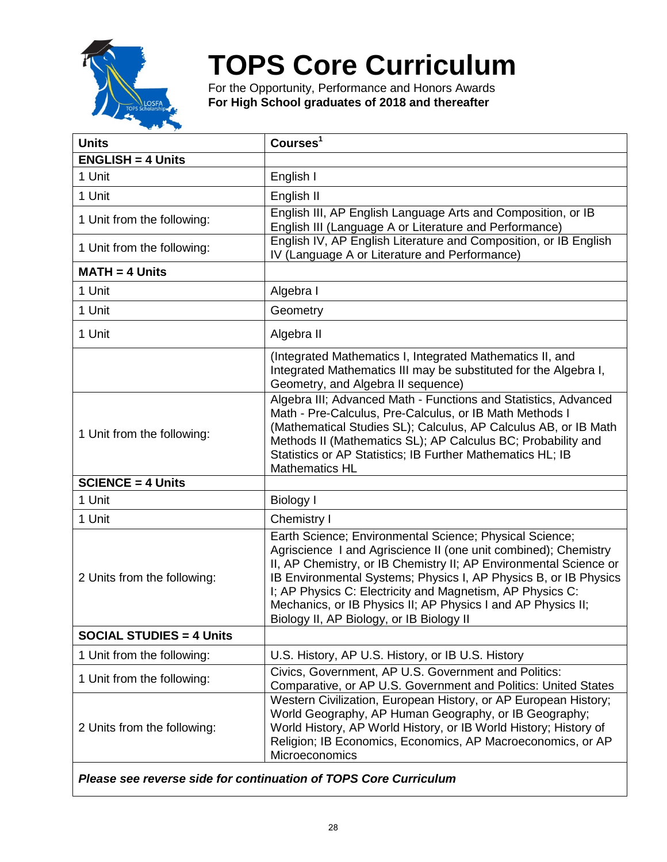

## **TOPS Core Curriculum**

For the Opportunity, Performance and Honors Awards **For High School graduates of 2018 and thereafter**

| <b>Units</b>                    | Courses <sup>1</sup>                                                                                                                                                                                                                                                                                                                                                                                                                         |
|---------------------------------|----------------------------------------------------------------------------------------------------------------------------------------------------------------------------------------------------------------------------------------------------------------------------------------------------------------------------------------------------------------------------------------------------------------------------------------------|
| <b>ENGLISH = 4 Units</b>        |                                                                                                                                                                                                                                                                                                                                                                                                                                              |
| 1 Unit                          | English I                                                                                                                                                                                                                                                                                                                                                                                                                                    |
| 1 Unit                          | English II                                                                                                                                                                                                                                                                                                                                                                                                                                   |
| 1 Unit from the following:      | English III, AP English Language Arts and Composition, or IB<br>English III (Language A or Literature and Performance)                                                                                                                                                                                                                                                                                                                       |
| 1 Unit from the following:      | English IV, AP English Literature and Composition, or IB English<br>IV (Language A or Literature and Performance)                                                                                                                                                                                                                                                                                                                            |
| $MATH = 4$ Units                |                                                                                                                                                                                                                                                                                                                                                                                                                                              |
| 1 Unit                          | Algebra I                                                                                                                                                                                                                                                                                                                                                                                                                                    |
| 1 Unit                          | Geometry                                                                                                                                                                                                                                                                                                                                                                                                                                     |
| 1 Unit                          | Algebra II                                                                                                                                                                                                                                                                                                                                                                                                                                   |
|                                 | (Integrated Mathematics I, Integrated Mathematics II, and<br>Integrated Mathematics III may be substituted for the Algebra I,<br>Geometry, and Algebra II sequence)                                                                                                                                                                                                                                                                          |
| 1 Unit from the following:      | Algebra III; Advanced Math - Functions and Statistics, Advanced<br>Math - Pre-Calculus, Pre-Calculus, or IB Math Methods I<br>(Mathematical Studies SL); Calculus, AP Calculus AB, or IB Math<br>Methods II (Mathematics SL); AP Calculus BC; Probability and<br>Statistics or AP Statistics; IB Further Mathematics HL; IB<br><b>Mathematics HL</b>                                                                                         |
| <b>SCIENCE = 4 Units</b>        |                                                                                                                                                                                                                                                                                                                                                                                                                                              |
| 1 Unit                          | <b>Biology I</b>                                                                                                                                                                                                                                                                                                                                                                                                                             |
| 1 Unit                          | Chemistry I                                                                                                                                                                                                                                                                                                                                                                                                                                  |
| 2 Units from the following:     | Earth Science; Environmental Science; Physical Science;<br>Agriscience I and Agriscience II (one unit combined); Chemistry<br>II, AP Chemistry, or IB Chemistry II; AP Environmental Science or<br>IB Environmental Systems; Physics I, AP Physics B, or IB Physics<br>I; AP Physics C: Electricity and Magnetism, AP Physics C:<br>Mechanics, or IB Physics II; AP Physics I and AP Physics II;<br>Biology II, AP Biology, or IB Biology II |
| <b>SOCIAL STUDIES = 4 Units</b> |                                                                                                                                                                                                                                                                                                                                                                                                                                              |
| 1 Unit from the following:      | U.S. History, AP U.S. History, or IB U.S. History                                                                                                                                                                                                                                                                                                                                                                                            |
| 1 Unit from the following:      | Civics, Government, AP U.S. Government and Politics:<br>Comparative, or AP U.S. Government and Politics: United States                                                                                                                                                                                                                                                                                                                       |
| 2 Units from the following:     | Western Civilization, European History, or AP European History;<br>World Geography, AP Human Geography, or IB Geography;<br>World History, AP World History, or IB World History; History of<br>Religion; IB Economics, Economics, AP Macroeconomics, or AP<br>Microeconomics                                                                                                                                                                |

*Please see reverse side for continuation of TOPS Core Curriculum*